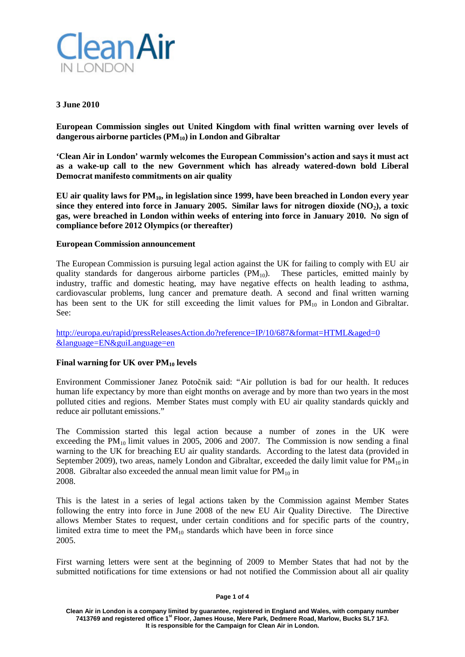

## **3 June 2010**

**European Commission singles out United Kingdom with final written warning over levels of dangerous airborne particles (PM10) in London and Gibraltar**

**'Clean Air in London' warmly welcomes the European Commission's action and says it must act as a wake-up call to the new Government which has already watered-down bold Liberal Democrat manifesto commitments on air quality**

**EU air quality laws for PM10, in legislation since 1999, have been breached in London every year since they entered into force in January 2005. Similar laws for nitrogen dioxide (NO2), a toxic gas, were breached in London within weeks of entering into force in January 2010. No sign of compliance before 2012 Olympics (or thereafter)**

## **European Commission announcement**

The European Commission is pursuing legal action against the UK for failing to comply with EU air quality standards for dangerous airborne particles  $(PM_{10})$ . These particles, emitted mainly by industry, traffic and domestic heating, may have negative effects on health leading to asthma, cardiovascular problems, lung cancer and premature death. A second and final written warning has been sent to the UK for still exceeding the limit values for  $PM_{10}$  in London and Gibraltar. See:

<http://europa.eu/rapid/pressReleasesAction.do?reference=IP/10/687&format=HTML&aged=0> [&language=EN&guiLanguage=en](http://europa.eu/rapid/pressReleasesAction.do?reference=IP/10/687&format=HTML&aged=0)

## **Final warning for UK over PM10 levels**

Environment Commissioner Janez Potočnik said: "Air pollution is bad for our health. It reduces human life expectancy by more than eight months on average and by more than two years in the most polluted cities and regions. Member States must comply with EU air quality standards quickly and reduce air pollutant emissions."

The Commission started this legal action because a number of zones in the UK were exceeding the  $PM_{10}$  limit values in 2005, 2006 and 2007. The Commission is now sending a final warning to the UK for breaching EU air quality standards. According to the latest data (provided in September 2009), two areas, namely London and Gibraltar, exceeded the daily limit value for  $PM_{10}$  in 2008. Gibraltar also exceeded the annual mean limit value for  $PM_{10}$  in 2008.

This is the latest in a series of legal actions taken by the Commission against Member States following the entry into force in June 2008 of the new EU Air Quality Directive. The Directive allows Member States to request, under certain conditions and for specific parts of the country, limited extra time to meet the  $PM_{10}$  standards which have been in force since 2005.

First warning letters were sent at the beginning of 2009 to Member States that had not by the submitted notifications for time extensions or had not notified the Commission about all air quality

### **Page 1 of 4**

**Clean Air in London is a company limited by guarantee, registered in England and Wales, with company number 7413769 and registered office 1st Floor, James House, Mere Park, Dedmere Road, Marlow, Bucks SL7 1FJ. It is responsible for the Campaign for Clean Air in London.**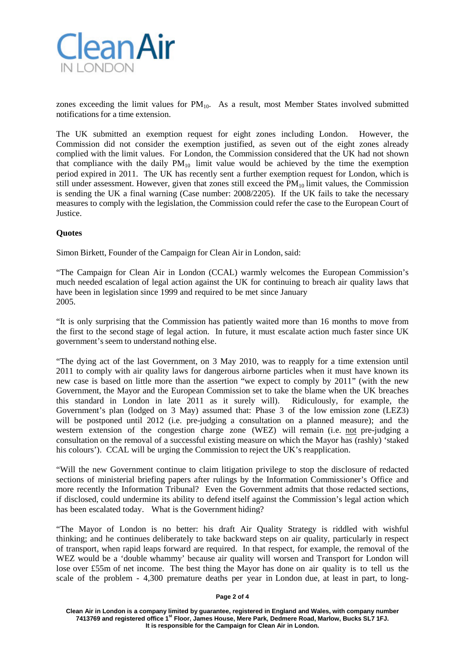

zones exceeding the limit values for  $PM_{10}$ . As a result, most Member States involved submitted notifications for a time extension.

The UK submitted an exemption request for eight zones including London. However, the Commission did not consider the exemption justified, as seven out of the eight zones already complied with the limit values. For London, the Commission considered that the UK had not shown that compliance with the daily  $PM_{10}$  limit value would be achieved by the time the exemption period expired in 2011. The UK has recently sent a further exemption request for London, which is still under assessment. However, given that zones still exceed the  $\overline{PM}_{10}$  limit values, the Commission is sending the UK a final warning (Case number: 2008/2205). If the UK fails to take the necessary measures to comply with the legislation, the Commission could refer the case to the European Court of Justice.

## **Quotes**

Simon Birkett, Founder of the Campaign for Clean Air in London, said:

"The Campaign for Clean Air in London (CCAL) warmly welcomes the European Commission's much needed escalation of legal action against the UK for continuing to breach air quality laws that have been in legislation since 1999 and required to be met since January 2005.

"It is only surprising that the Commission has patiently waited more than 16 months to move from the first to the second stage of legal action. In future, it must escalate action much faster since UK government's seem to understand nothing else.

"The dying act of the last Government, on 3 May 2010, was to reapply for a time extension until 2011 to comply with air quality laws for dangerous airborne particles when it must have known its new case is based on little more than the assertion "we expect to comply by 2011" (with the new Government, the Mayor and the European Commission set to take the blame when the UK breaches this standard in London in late 2011 as it surely will). Ridiculously, for example, the Government's plan (lodged on 3 May) assumed that: Phase 3 of the low emission zone (LEZ3) will be postponed until 2012 (i.e. pre-judging a consultation on a planned measure); and the western extension of the congestion charge zone (WEZ) will remain (i.e. not pre-judging a consultation on the removal of a successful existing measure on which the Mayor has (rashly) 'staked his colours'). CCAL will be urging the Commission to reject the UK's reapplication.

"Will the new Government continue to claim litigation privilege to stop the disclosure of redacted sections of ministerial briefing papers after rulings by the Information Commissioner's Office and more recently the Information Tribunal? Even the Government admits that those redacted sections, if disclosed, could undermine its ability to defend itself against the Commission's legal action which has been escalated today. What is the Government hiding?

"The Mayor of London is no better: his draft Air Quality Strategy is riddled with wishful thinking; and he continues deliberately to take backward steps on air quality, particularly in respect of transport, when rapid leaps forward are required. In that respect, for example, the removal of the WEZ would be a 'double whammy' because air quality will worsen and Transport for London will lose over £55m of net income. The best thing the Mayor has done on air quality is to tell us the scale of the problem - 4,300 premature deaths per year in London due, at least in part, to long-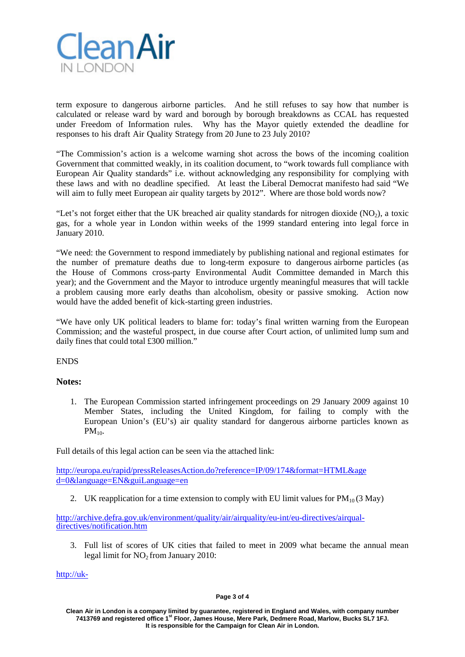

term exposure to dangerous airborne particles. And he still refuses to say how that number is calculated or release ward by ward and borough by borough breakdowns as CCAL has requested under Freedom of Information rules. Why has the Mayor quietly extended the deadline for responses to his draft Air Quality Strategy from 20 June to 23 July 2010?

"The Commission's action is a welcome warning shot across the bows of the incoming coalition Government that committed weakly, in its coalition document, to "work towards full compliance with European Air Quality standards" i.e. without acknowledging any responsibility for complying with these laws and with no deadline specified. At least the Liberal Democrat manifesto had said "We will aim to fully meet European air quality targets by 2012". Where are those bold words now?

"Let's not forget either that the UK breached air quality standards for nitrogen dioxide  $(NO<sub>2</sub>)$ , a toxic gas, for a whole year in London within weeks of the 1999 standard entering into legal force in January 2010.

"We need: the Government to respond immediately by publishing national and regional estimates for the number of premature deaths due to long-term exposure to dangerous airborne particles (as the House of Commons cross-party Environmental Audit Committee demanded in March this year); and the Government and the Mayor to introduce urgently meaningful measures that will tackle a problem causing more early deaths than alcoholism, obesity or passive smoking. Action now would have the added benefit of kick-starting green industries.

"We have only UK political leaders to blame for: today's final written warning from the European Commission; and the wasteful prospect, in due course after Court action, of unlimited lump sum and daily fines that could total £300 million."

ENDS

# **Notes:**

1. The European Commission started infringement proceedings on 29 January 2009 against 10 Member States, including the United Kingdom, for failing to comply with the European Union's (EU's) air quality standard for dangerous airborne particles known as  $PM_{10}$ .

Full details of this legal action can be seen via the attached link:

[http://europa.eu/rapid/pressReleasesAction.do?reference=IP/09/174&format=HTML&age](http://europa.eu/rapid/pressReleasesAction.do?reference=IP/09/174&format=HTML&age%20d=0&language=EN&guiLanguage=en) [d=0&language=EN&guiLanguage=en](http://europa.eu/rapid/pressReleasesAction.do?reference=IP/09/174&format=HTML&age%20d=0&language=EN&guiLanguage=en)

2. UK reapplication for a time extension to comply with EU limit values for  $PM_{10}(3 \text{ May})$ 

[http://archive.defra.gov.uk/environment/quality/air/airquality/eu-int/eu-directives/airqual](http://archive.defra.gov.uk/environment/quality/air/airquality/eu-int/eu-directives/airqual-directives/notification.htm)[directives/notification.htm](http://archive.defra.gov.uk/environment/quality/air/airquality/eu-int/eu-directives/airqual-directives/notification.htm)

3. Full list of scores of UK cities that failed to meet in 2009 what became the annual mean legal limit for  $NO<sub>2</sub>$  from January 2010:

[http://uk-](http://uk-air.defra.gov.uk/data/exceedence?f_exceedence_id=E1&f_year_start=2009&f_year_end=2009&f_network_id=Array&f_group_id=4&f_region_reference_id=1&f_sub_region_id=9999&f_output=screen&f_parameter_id=NO2&action=exceedence3&go=Go)

#### **Page 3 of 4**

**Clean Air in London is a company limited by guarantee, registered in England and Wales, with company number 7413769 and registered office 1st Floor, James House, Mere Park, Dedmere Road, Marlow, Bucks SL7 1FJ. It is responsible for the Campaign for Clean Air in London.**